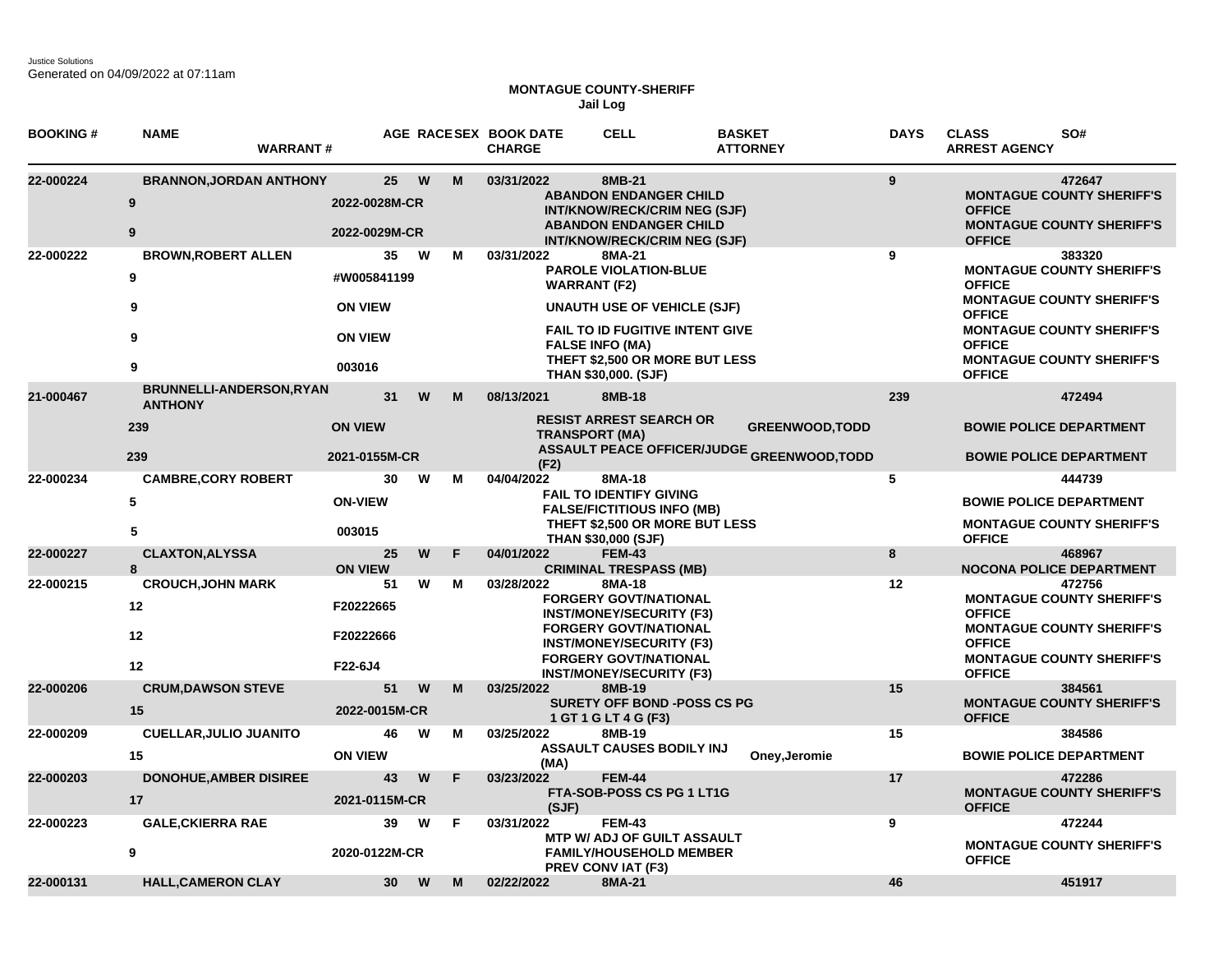## **MONTAGUE COUNTY-SHERIFF Jail Log**

| <b>BOOKING#</b> | <b>NAME</b><br><b>WARRANT#</b>                           |                                                                 |   |    | AGE RACESEX BOOK DATE<br><b>CHARGE</b>      | <b>CELL</b>                                                                                                                                                                                                                | <b>BASKET</b><br><b>ATTORNEY</b>                                            | <b>DAYS</b> | <b>CLASS</b><br>SO#<br><b>ARREST AGENCY</b>                                                                                                                                                                                |
|-----------------|----------------------------------------------------------|-----------------------------------------------------------------|---|----|---------------------------------------------|----------------------------------------------------------------------------------------------------------------------------------------------------------------------------------------------------------------------------|-----------------------------------------------------------------------------|-------------|----------------------------------------------------------------------------------------------------------------------------------------------------------------------------------------------------------------------------|
| 22-000224       | <b>BRANNON, JORDAN ANTHONY</b><br>9<br>9                 | 25<br>2022-0028M-CR<br>2022-0029M-CR                            | W | M  | 03/31/2022                                  | 8MB-21<br><b>ABANDON ENDANGER CHILD</b><br>INT/KNOW/RECK/CRIM NEG (SJF)<br><b>ABANDON ENDANGER CHILD</b><br><b>INT/KNOW/RECK/CRIM NEG (SJF)</b>                                                                            |                                                                             | 9           | 472647<br><b>MONTAGUE COUNTY SHERIFF'S</b><br><b>OFFICE</b><br><b>MONTAGUE COUNTY SHERIFF'S</b><br><b>OFFICE</b>                                                                                                           |
| 22-000222       | <b>BROWN, ROBERT ALLEN</b><br>9<br>9<br>9<br>9           | 35<br>#W005841199<br><b>ON VIEW</b><br><b>ON VIEW</b><br>003016 | W | м  | 03/31/2022                                  | 8MA-21<br><b>PAROLE VIOLATION-BLUE</b><br><b>WARRANT (F2)</b><br><b>UNAUTH USE OF VEHICLE (SJF)</b><br>FAIL TO ID FUGITIVE INTENT GIVE<br><b>FALSE INFO (MA)</b><br>THEFT \$2,500 OR MORE BUT LESS<br>THAN \$30,000. (SJF) |                                                                             | 9           | 383320<br><b>MONTAGUE COUNTY SHERIFF'S</b><br><b>OFFICE</b><br><b>MONTAGUE COUNTY SHERIFF'S</b><br><b>OFFICE</b><br><b>MONTAGUE COUNTY SHERIFF'S</b><br><b>OFFICE</b><br><b>MONTAGUE COUNTY SHERIFF'S</b><br><b>OFFICE</b> |
| 21-000467       | BRUNNELLI-ANDERSON, RYAN<br><b>ANTHONY</b><br>239<br>239 | 31<br><b>ON VIEW</b><br>2021-0155M-CR                           | W | м  | 08/13/2021<br><b>TRANSPORT (MA)</b><br>(F2) | 8MB-18<br><b>RESIST ARREST SEARCH OR</b>                                                                                                                                                                                   | <b>GREENWOOD, TODD</b><br><b>ASSAULT PEACE OFFICER/JUDGE GREENWOOD,TODD</b> | 239         | 472494<br><b>BOWIE POLICE DEPARTMENT</b><br><b>BOWIE POLICE DEPARTMENT</b>                                                                                                                                                 |
| 22-000234       | <b>CAMBRE, CORY ROBERT</b><br>5<br>5                     | 30<br><b>ON-VIEW</b><br>003015                                  | W | м  | 04/04/2022                                  | 8MA-18<br><b>FAIL TO IDENTIFY GIVING</b><br><b>FALSE/FICTITIOUS INFO (MB)</b><br>THEFT \$2,500 OR MORE BUT LESS<br>THAN \$30,000 (SJF)                                                                                     |                                                                             | 5           | 444739<br><b>BOWIE POLICE DEPARTMENT</b><br><b>MONTAGUE COUNTY SHERIFF'S</b><br><b>OFFICE</b>                                                                                                                              |
| 22-000227       | <b>CLAXTON, ALYSSA</b><br>8                              | 25<br><b>ON VIEW</b>                                            | W | F  | 04/01/2022                                  | <b>FEM-43</b><br><b>CRIMINAL TRESPASS (MB)</b>                                                                                                                                                                             |                                                                             | 8           | 468967<br><b>NOCONA POLICE DEPARTMENT</b>                                                                                                                                                                                  |
| 22-000215       | <b>CROUCH, JOHN MARK</b><br>12<br>12<br>$12 \,$          | 51<br>F20222665<br>F20222666<br>F22-6J4                         | W | M  | 03/28/2022                                  | 8MA-18<br><b>FORGERY GOVT/NATIONAL</b><br><b>INST/MONEY/SECURITY (F3)</b><br><b>FORGERY GOVT/NATIONAL</b><br><b>INST/MONEY/SECURITY (F3)</b><br><b>FORGERY GOVT/NATIONAL</b><br><b>INST/MONEY/SECURITY (F3)</b>            |                                                                             | 12          | 472756<br><b>MONTAGUE COUNTY SHERIFF'S</b><br><b>OFFICE</b><br><b>MONTAGUE COUNTY SHERIFF'S</b><br><b>OFFICE</b><br><b>MONTAGUE COUNTY SHERIFF'S</b><br><b>OFFICE</b>                                                      |
| 22-000206       | <b>CRUM, DAWSON STEVE</b><br>15                          | 51<br>2022-0015M-CR                                             | W | M  | 03/25/2022                                  | 8MB-19<br><b>SURETY OFF BOND -POSS CS PG</b><br>1 GT 1 G LT 4 G (F3)                                                                                                                                                       |                                                                             | 15          | 384561<br><b>MONTAGUE COUNTY SHERIFF'S</b><br><b>OFFICE</b>                                                                                                                                                                |
| 22-000209       | <b>CUELLAR, JULIO JUANITO</b><br>15                      | 46<br><b>ON VIEW</b>                                            | W | м  | 03/25/2022<br>(MA)                          | 8MB-19<br>ASSAULT CAUSES BODILY INJ                                                                                                                                                                                        | Oney, Jeromie                                                               | 15          | 384586<br><b>BOWIE POLICE DEPARTMENT</b>                                                                                                                                                                                   |
| 22-000203       | <b>DONOHUE, AMBER DISIREE</b><br>17                      | 43<br>2021-0115M-CR                                             | W | F. | 03/23/2022<br>(SJF)                         | <b>FEM-44</b><br>FTA-SOB-POSS CS PG 1 LT1G                                                                                                                                                                                 |                                                                             | 17          | 472286<br><b>MONTAGUE COUNTY SHERIFF'S</b><br><b>OFFICE</b>                                                                                                                                                                |
| 22-000223       | <b>GALE, CKIERRA RAE</b><br>9                            | 39<br>2020-0122M-CR                                             | W | F. | 03/31/2022                                  | <b>FEM-43</b><br><b>MTP W/ ADJ OF GUILT ASSAULT</b><br><b>FAMILY/HOUSEHOLD MEMBER</b><br><b>PREV CONVIAT (F3)</b>                                                                                                          |                                                                             | 9           | 472244<br><b>MONTAGUE COUNTY SHERIFF'S</b><br><b>OFFICE</b>                                                                                                                                                                |
| 22-000131       | <b>HALL, CAMERON CLAY</b>                                | 30 <sub>o</sub>                                                 | W | M  | 02/22/2022                                  | 8MA-21                                                                                                                                                                                                                     |                                                                             | 46          | 451917                                                                                                                                                                                                                     |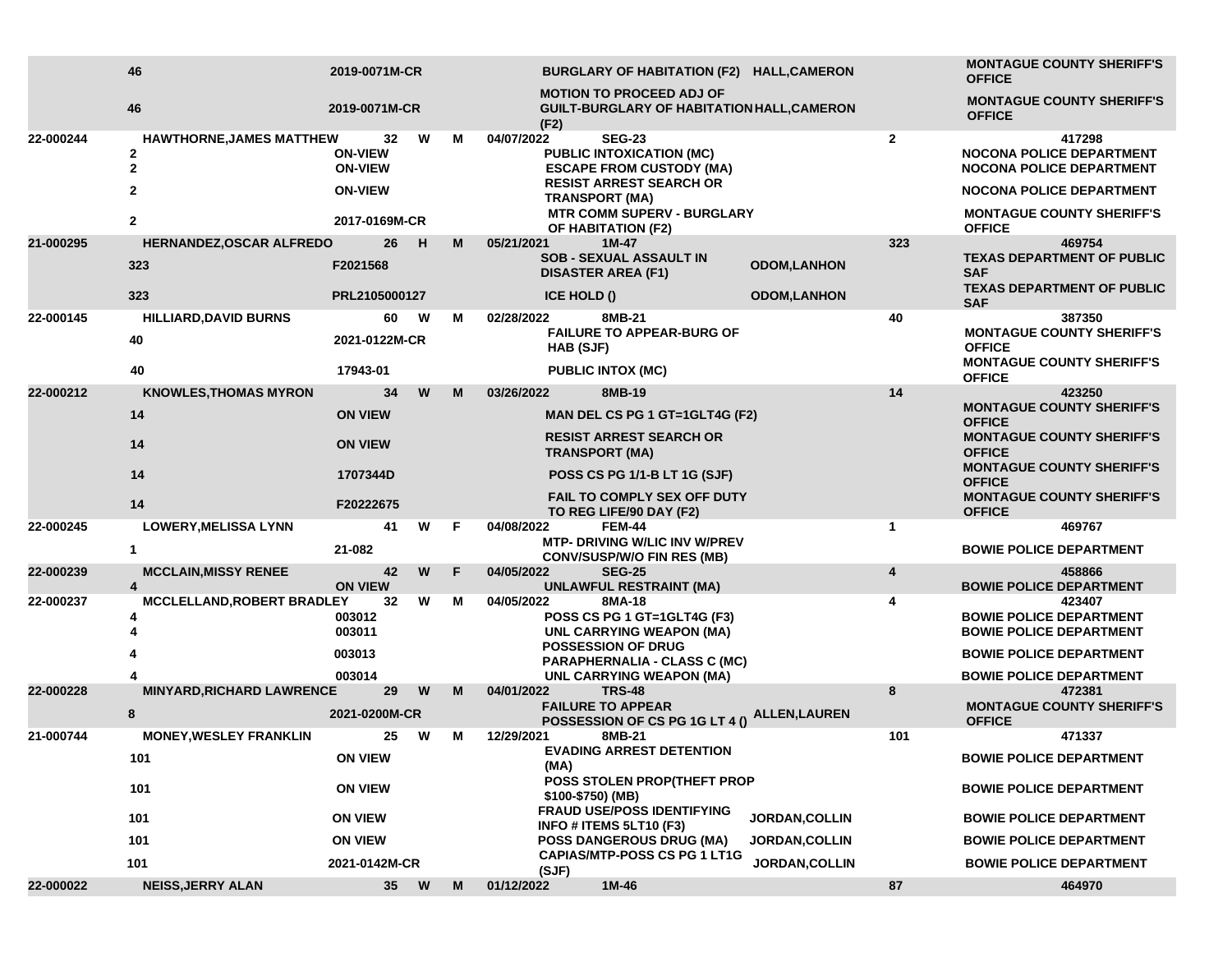|           | 46                                                                           | 2019-0071M-CR                                            |      |   |                                                                                       | BURGLARY OF HABITATION (F2) HALL,CAMERON                                                                              |                       | <b>MONTAGUE COUNTY SHERIFF'S</b><br><b>OFFICE</b>                                                               |                                                                            |  |
|-----------|------------------------------------------------------------------------------|----------------------------------------------------------|------|---|---------------------------------------------------------------------------------------|-----------------------------------------------------------------------------------------------------------------------|-----------------------|-----------------------------------------------------------------------------------------------------------------|----------------------------------------------------------------------------|--|
|           | 46                                                                           | 2019-0071M-CR                                            |      |   | (F2)                                                                                  | <b>MOTION TO PROCEED ADJ OF</b><br>GUILT-BURGLARY OF HABITATION HALL, CAMERON                                         |                       |                                                                                                                 | <b>MONTAGUE COUNTY SHERIFF'S</b><br><b>OFFICE</b>                          |  |
| 22-000244 | HAWTHORNE, JAMES MATTHEW<br>$\mathbf{2}$<br>$\overline{2}$<br>$\overline{2}$ | 32<br><b>ON-VIEW</b><br><b>ON-VIEW</b><br><b>ON-VIEW</b> | W    | М | 04/07/2022<br><b>TRANSPORT (MA)</b>                                                   | <b>SEG-23</b><br><b>PUBLIC INTOXICATION (MC)</b><br><b>ESCAPE FROM CUSTODY (MA)</b><br><b>RESIST ARREST SEARCH OR</b> | 2                     | 417298<br><b>NOCONA POLICE DEPARTMENT</b><br><b>NOCONA POLICE DEPARTMENT</b><br><b>NOCONA POLICE DEPARTMENT</b> |                                                                            |  |
|           | $\overline{2}$                                                               | 2017-0169M-CR                                            |      |   | <b>MTR COMM SUPERV - BURGLARY</b><br>OF HABITATION (F2)                               |                                                                                                                       |                       | <b>MONTAGUE COUNTY SHERIFF'S</b><br><b>OFFICE</b>                                                               |                                                                            |  |
| 21-000295 | HERNANDEZ, OSCAR ALFREDO                                                     | 26                                                       | - H  | M | $1M-47$<br>05/21/2021                                                                 |                                                                                                                       |                       | 323                                                                                                             | 469754                                                                     |  |
|           | 323                                                                          | F2021568                                                 |      |   | <b>SOB - SEXUAL ASSAULT IN</b><br><b>ODOM,LANHON</b><br><b>DISASTER AREA (F1)</b>     |                                                                                                                       |                       |                                                                                                                 | <b>TEXAS DEPARTMENT OF PUBLIC</b><br><b>SAF</b>                            |  |
|           | 323                                                                          | PRL2105000127                                            |      |   | ICE HOLD ()                                                                           |                                                                                                                       | <b>ODOM,LANHON</b>    |                                                                                                                 | <b>TEXAS DEPARTMENT OF PUBLIC</b><br><b>SAF</b>                            |  |
| 22-000145 | <b>HILLIARD, DAVID BURNS</b><br>40                                           | 60<br>2021-0122M-CR                                      | W    | м | 8MB-21<br>02/28/2022<br>HAB (SJF)                                                     | <b>FAILURE TO APPEAR-BURG OF</b>                                                                                      |                       | 40                                                                                                              | 387350<br><b>MONTAGUE COUNTY SHERIFF'S</b><br><b>OFFICE</b>                |  |
|           | 40                                                                           | 17943-01                                                 |      |   | <b>PUBLIC INTOX (MC)</b>                                                              |                                                                                                                       |                       |                                                                                                                 | <b>MONTAGUE COUNTY SHERIFF'S</b><br><b>OFFICE</b>                          |  |
| 22-000212 | <b>KNOWLES, THOMAS MYRON</b>                                                 | 34                                                       | W    | м | 03/26/2022<br>8MB-19                                                                  |                                                                                                                       |                       | 14                                                                                                              | 423250<br><b>MONTAGUE COUNTY SHERIFF'S</b>                                 |  |
|           | 14<br>14                                                                     | <b>ON VIEW</b><br><b>ON VIEW</b>                         |      |   | MAN DEL CS PG 1 GT=1GLT4G (F2)<br><b>RESIST ARREST SEARCH OR</b>                      |                                                                                                                       |                       |                                                                                                                 | <b>OFFICE</b><br><b>MONTAGUE COUNTY SHERIFF'S</b>                          |  |
|           |                                                                              |                                                          |      |   | <b>TRANSPORT (MA)</b>                                                                 |                                                                                                                       |                       |                                                                                                                 | <b>OFFICE</b><br><b>MONTAGUE COUNTY SHERIFF'S</b>                          |  |
|           | 14                                                                           | 1707344D                                                 |      |   |                                                                                       | POSS CS PG 1/1-B LT 1G (SJF)<br><b>FAIL TO COMPLY SEX OFF DUTY</b>                                                    |                       |                                                                                                                 | <b>OFFICE</b><br><b>MONTAGUE COUNTY SHERIFF'S</b>                          |  |
|           | 14                                                                           | F20222675                                                |      |   | TO REG LIFE/90 DAY (F2)                                                               |                                                                                                                       |                       |                                                                                                                 | <b>OFFICE</b>                                                              |  |
| 22-000245 | <b>LOWERY, MELISSA LYNN</b><br>$\mathbf{1}$                                  | 41<br>21-082                                             | W    | F | 04/08/2022<br>FEM-44                                                                  | <b>MTP- DRIVING W/LIC INV W/PREV</b>                                                                                  |                       | $\mathbf{1}$                                                                                                    | 469767<br><b>BOWIE POLICE DEPARTMENT</b>                                   |  |
| 22-000239 | <b>MCCLAIN, MISSY RENEE</b>                                                  | 42                                                       | W    | F | 04/05/2022<br><b>SEG-25</b>                                                           | <b>CONV/SUSP/W/O FIN RES (MB)</b>                                                                                     |                       | 4                                                                                                               | 458866                                                                     |  |
|           | $\overline{4}$                                                               | <b>ON VIEW</b>                                           |      |   |                                                                                       | <b>UNLAWFUL RESTRAINT (MA)</b>                                                                                        |                       |                                                                                                                 | <b>BOWIE POLICE DEPARTMENT</b>                                             |  |
| 22-000237 | MCCLELLAND, ROBERT BRADLEY                                                   | 32<br>003012<br>003011                                   | W    | М | 04/05/2022<br>8MA-18                                                                  | POSS CS PG 1 GT=1GLT4G (F3)<br><b>UNL CARRYING WEAPON (MA)</b>                                                        |                       | 4                                                                                                               | 423407<br><b>BOWIE POLICE DEPARTMENT</b><br><b>BOWIE POLICE DEPARTMENT</b> |  |
|           |                                                                              | 003013                                                   |      |   | <b>POSSESSION OF DRUG</b>                                                             | <b>PARAPHERNALIA - CLASS C (MC)</b>                                                                                   |                       |                                                                                                                 | <b>BOWIE POLICE DEPARTMENT</b>                                             |  |
|           |                                                                              | 003014                                                   |      |   |                                                                                       | UNL CARRYING WEAPON (MA)                                                                                              |                       |                                                                                                                 | <b>BOWIE POLICE DEPARTMENT</b>                                             |  |
| 22-000228 | <b>MINYARD, RICHARD LAWRENCE</b><br>8                                        | 29<br>2021-0200M-CR                                      | W    | M | <b>TRS-48</b><br>04/01/2022<br><b>FAILURE TO APPEAR</b>                               | POSSESSION OF CS PG 1G LT 4 ()                                                                                        | <b>ALLEN, LAUREN</b>  | 8                                                                                                               | 472381<br><b>MONTAGUE COUNTY SHERIFF'S</b><br><b>OFFICE</b>                |  |
| 21-000744 | <b>MONEY, WESLEY FRANKLIN</b>                                                | 25                                                       | W    | М | 12/29/2021<br>8MB-21                                                                  |                                                                                                                       |                       | 101                                                                                                             | 471337                                                                     |  |
|           | 101                                                                          | <b>ON VIEW</b>                                           |      |   | (MA)                                                                                  | <b>EVADING ARREST DETENTION</b>                                                                                       |                       |                                                                                                                 | <b>BOWIE POLICE DEPARTMENT</b>                                             |  |
|           | 101                                                                          | <b>ON VIEW</b><br><b>ON VIEW</b>                         |      |   | POSS STOLEN PROP(THEFT PROP<br>\$100-\$750) (MB)                                      |                                                                                                                       |                       |                                                                                                                 | <b>BOWIE POLICE DEPARTMENT</b>                                             |  |
|           | 101                                                                          |                                                          |      |   | <b>FRAUD USE/POSS IDENTIFYING</b><br><b>JORDAN, COLLIN</b><br>INFO # ITEMS 5LT10 (F3) |                                                                                                                       |                       |                                                                                                                 | <b>BOWIE POLICE DEPARTMENT</b>                                             |  |
|           | 101                                                                          | <b>ON VIEW</b>                                           |      |   |                                                                                       | <b>POSS DANGEROUS DRUG (MA)</b>                                                                                       | <b>JORDAN,COLLIN</b>  |                                                                                                                 | <b>BOWIE POLICE DEPARTMENT</b>                                             |  |
|           | 101                                                                          | 2021-0142M-CR                                            |      |   | (SJF)                                                                                 | <b>CAPIAS/MTP-POSS CS PG 1 LT1G</b>                                                                                   | <b>JORDAN, COLLIN</b> |                                                                                                                 | <b>BOWIE POLICE DEPARTMENT</b>                                             |  |
| 22-000022 | <b>NEISS, JERRY ALAN</b>                                                     |                                                          | 35 W | M | $1M-46$<br>01/12/2022                                                                 |                                                                                                                       |                       | 87                                                                                                              | 464970                                                                     |  |